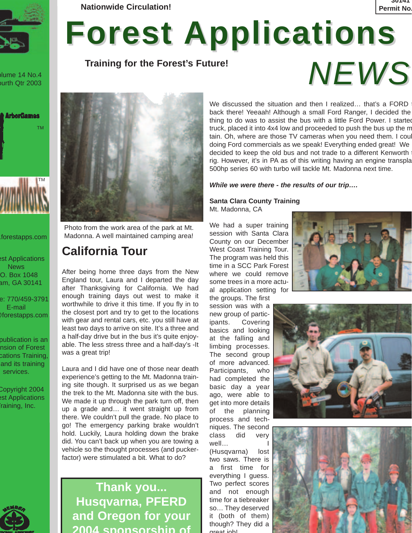

olume 14 No.4 ourth Qtr 2003



.forestapps.com

est Applications News O. Box 1048 am, GA 30141

e: 770/459-3791 E-mail @forestapps.com

publication is an nsion of Forest cations Training, and its training services.

Copyright 2004 est Applications raining, Inc.



**Nationwide Circulation! Permit No. 2012 12:20 12:20 12:20 12:20 12:20 12:20 12:20 12:20 12:20 12:20 12:20 12:20 12:20 12:20 12:20 12:20 12:20 12:20 12:20 12:20 12:20 12:20 12:20 12:20 12:20 12:20 12:20 12:20 12:20 12:20** 

# **Forest Applications**

**Training for the Forest's Future!**



Photo from the work area of the park at Mt. Madonna. A well maintained camping area!

# **California Tour**

After being home three days from the New England tour, Laura and I departed the day after Thanksgiving for California. We had enough training days out west to make it worthwhile to drive it this time. If you fly in to the closest port and try to get to the locations with gear and rental cars, etc. you still have at least two days to arrive on site. It's a three and a half-day drive but in the bus it's quite enjoyable. The less stress three and a half-day's -It was a great trip!

Laura and I did have one of those near death experience's getting to the Mt. Madonna training site though. It surprised us as we began the trek to the Mt. Madonna site with the bus. We made it up through the park turn off, then up a grade and… it went straight up from there. We couldn't pull the grade. No place to go! The emergency parking brake wouldn't hold. Luckily, Laura holding down the brake did. You can't back up when you are towing a vehicle so the thought processes (and puckerfactor) were stimulated a bit. What to do?

**Thank you... Husqvarna, PFERD and Oregon for your 2004 sponsorship of**

We discussed the situation and then I realized... that's a FORD back there! Yeeaah! Although a small Ford Ranger, I decided the thing to do was to assist the bus with a little Ford Power. I started truck, placed it into 4x4 low and proceeded to push the bus up the m tain. Oh, where are those TV cameras when you need them. I coul doing Ford commercials as we speak! Everything ended great! We decided to keep the old bus and not trade to a different Kenworth rig. However, it's in PA as of this writing having an engine transpla 500hp series 60 with turbo will tackle Mt. Madonna next time.

*While we were there - the results of our trip….*

**Santa Clara County Training** Mt. Madonna, CA

We had a super training session with Santa Clara County on our December West Coast Training Tour. The program was held this time in a SCC Park Forest where we could remove some trees in a more actual application setting for

the groups. The first session was with a new group of participants. Covering basics and looking at the falling and limbing processes. The second group of more advanced. Participants, who had completed the basic day a year ago, were able to get into more details of the planning process and techniques. The second class did very well… I

(Husqvarna) lost two saws. There is a first time for everything I guess. Two perfect scores and not enough time for a tiebreaker so… They deserved it (both of them) though? They did a great job!



*NEWS*

**30141**



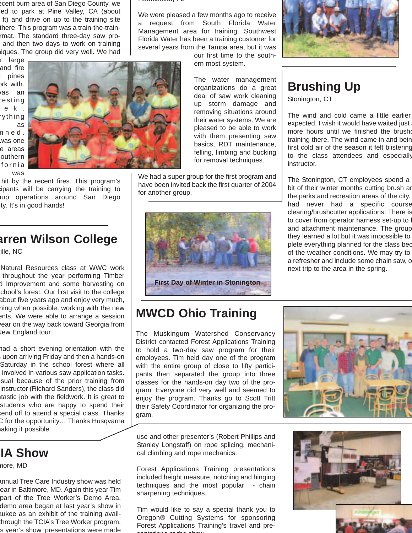ecent burn area of San Diego County, we led to park at Pine Valley, CA (about ft) and drive on up to the training site there. This program was a train-the-trainrmat. The standard three-day saw proand then two days to work on training niques. The group did very well. We had

e large and fire pines ork with. as an resting ek. rything as nned. was one e areas outhern

fornia was



hit by the recent fires. This program's cipants will be carrying the training to nup operations around San Diego ty. It's in good hands!

## **arren Wilson College**

ille, NC

Natural Resources class at WWC work throughout the year performing Timber d Improvement and some harvesting on chool's forest. Our first visit to the college about five years ago and enjoy very much, ning when possible, working with the new ents. We were able to arrange a session year on the way back toward Georgia from lew England tour.

had a short evening orientation with the s upon arriving Friday and then a hands-on Saturday in the school forest where all involved in various saw application tasks. sual because of the prior training from instructor (Richard Sanders), the class did ntastic job with the fieldwork. It is great to students who are happy to spend their kend off to attend a special class. Thanks C for the opportunity… Thanks Husqvarna aking it possible.

# **CIA Show**

more, MD

annual Tree Care Industry show was held ear in Baltimore, MD. Again this year Tim part of the Tree Worker's Demo Area. demo area began at last year's show in aukee as an exhibit of the training availthrough the TCIA's Tree Worker program. s year's show, presentations were made

Homestead, FL

We were pleased a few months ago to receive a request from South Florida Water Management area for training. Southwest Florida Water has been a training customer for several years from the Tampa area, but it was

our first time to the southern most system.

The water management organizations do a great deal of saw work cleaning up storm damage and removing situations around their water systems. We are pleased to be able to work with them presenting saw basics, RDT maintenance, felling, limbing and bucking for removal techniques.

We had a super group for the first program and have been invited back the first quarter of 2004 for another group.



# **MWCD Ohio Training**

The Muskingum Watershed Conservancy District contacted Forest Applications Training to hold a two-day saw program for their employees. Tim held day one of the program with the entire group of close to fifty participants then separated the group into three classes for the hands-on day two of the program. Everyone did very well and seemed to enjoy the program. Thanks go to Scott Tritt their Safety Coordinator for organizing the program.



use and other presenter's (Robert Phillips and Stanley Longstaff) on rope splicing, mechanical climbing and rope mechanics.

Forest Applications Training presentations included height measure, notching and hinging techniques and the most popular - chain sharpening techniques.

Tim would like to say a special thank you to Oregon® Cutting Systems for sponsoring Forest Applications Training's travel and presentations at the show







# **Brushing Up**

Stonington, CT

The wind and cold came a little earlier expected. I wish it would have waited just more hours until we finished the brushe training there. The wind came in and bein first cold air of the season it felt blistering to the class attendees and especially instructor.

The Stonington, CT employees spend a bit of their winter months cutting brush ar the parks and recreation areas of the city. had never had a specific course clearing/brushcutter applications. There is to cover from operator harness set-up to and attachment maintenance. The group they learned a lot but it was impossible to plete everything planned for the class bec of the weather conditions. We may try to a refresher and include some chain saw, o next trip to the area in the spring.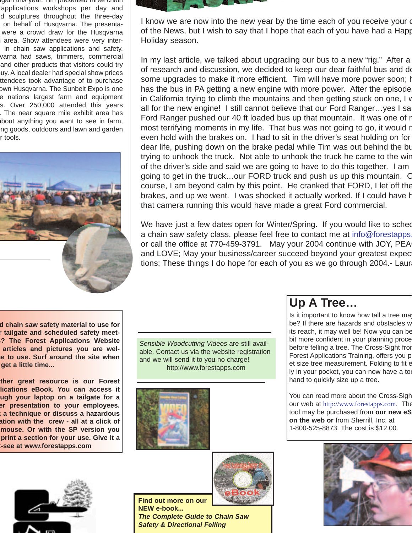iyain this year. Tim presented three chain applications workshops per day and d sculptures throughout the three-day on behalf of Husqvarna. The presentawere a crowd draw for the Husqvarna area. Show attendees were very interin chain saw applications and safety. varna had saws, trimmers, commercial and other products that visitors could try uy. A local dealer had special show prices ttendees took advantage of to purchase own Husqvarna. The Sunbelt Expo is one e nations largest farm and equipment s. Over 250,000 attended this years . The near square mile exhibit area has about anything you want to see in farm, ing goods, outdoors and lawn and garden r tools.





I know we are now into the new year by the time each of you receive your of of the News, but I wish to say that I hope that each of you have had a Happ Holiday season.

In my last article, we talked about upgrading our bus to a new "rig." After a of research and discussion, we decided to keep our dear faithful bus and do some upgrades to make it more efficient. Tim will have more power soon; https:// has the bus in PA getting a new engine with more power. After the episode in California trying to climb the mountains and then getting stuck on one, I w all for the new engine! I still cannot believe that our Ford Ranger…yes I sa Ford Ranger pushed our 40 ft loaded bus up that mountain. It was one of r most terrifying moments in my life. That bus was not going to go, it would r even hold with the brakes on. I had to sit in the driver's seat holding on for dear life, pushing down on the brake pedal while Tim was out behind the bu trying to unhook the truck. Not able to unhook the truck he came to the win of the driver's side and said we are going to have to do this together. I am going to get in the truck…our FORD truck and push us up this mountain. O course, I am beyond calm by this point. He cranked that FORD, I let off the brakes, and up we went. I was shocked it actually worked. If I could have h that camera running this would have made a great Ford commercial.

We have just a few dates open for Winter/Spring. If you would like to sched a chain saw safety class, please feel free to contact me at info@forestapps. or call the office at 770-459-3791. May your 2004 continue with JOY, PEA and LOVE; May your business/career succeed beyond your greatest expect tions; These things I do hope for each of you as we go through 2004.- Laur

**d chain saw safety material to use for r tailgate and scheduled safety meets? The Forest Applications Website articles and pictures you are welme to use. Surf around the site when get a little time...**

**ther great resource is our Forest lications eBook. You can access it ugh your laptop on a tailgate for a er presentation to your employees. k a technique or discuss a hazardous ation with the crew - all at a click of mouse. Or with the SP version you print a section for your use. Give it a k-see at www.forestapps.com**

*Sensible Woodcutting Videos* are still available. Contact us via the website registration and we will send it to you no charge! http://www.forestapps.com



# **Up A Tree…**

Is it important to know how tall a tree may be? If there are hazards and obstacles w its reach, it may well be! Now you can be bit more confident in your planning proce before felling a tree. The Cross-Sight from Forest Applications Training, offers you p et size tree measurement. Folding to fit e ly in your pocket, you can now have a to hand to quickly size up a tree.

You can read more about the Cross-Sigh our web at http://www.forestapps.com. The tool may be purchased from **our new eS on the web or** from Sherrill, Inc. at 1-800-525-8873. The cost is \$12.00.





**Find out more on our NEW e-book...** *The Complete Guide to Chain Saw Safety & Directional Felling* 

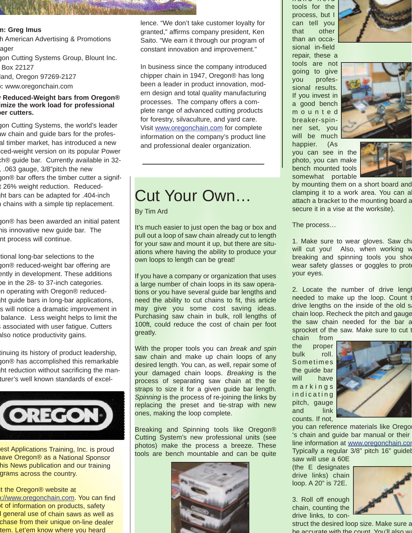#### **m: Greg Imus**

h American Advertising & Promotions ager

gon Cutting Systems Group, Blount Inc. Box 22127

land, Oregon 97269-2127 **b:** www.oregonchain.com

#### **w Reduced-Weight bars from Oregon® imize the work load for professional ber cutters.**

gon Cutting Systems, the world's leader aw chain and guide bars for the profesal timber market, has introduced a new ced-weight version on its popular Power ch® guide bar. Currently available in 32- , .063 gauge, 3/8"pitch the new gon® bar offers the timber cutter a signift 26% weight reduction. Reducedght bars can be adapted for .404-inch h chains with a simple tip replacement.

gon® has been awarded an initial patent his innovative new guide bar. The nt process will continue.

tional long-bar selections to the gon® reduced-weight bar offering are ently in development. These additions be in the 28- to 37-inch categories. en operating with Oregon® reducedght guide bars in long-bar applications, s will notice a dramatic improvement in balance. Less weight helps to limit the associated with user fatique. Cutters also notice productivity gains.

tinuing its history of product leadership, gon® has accomplished this remarkable ght reduction without sacrificing the manturer's well known standards of excel-



est Applications Training, Inc. is proud have Oregon® as a National Sponsor his News publication and our training grams across the country.

### it the Oregon® website at

p://www.oregonchain.com. You can find t of information on products, safety d general use of chain saws as well as chase from their unique on-line dealer tem. Let'em know where you heard

lence. "We don't take customer loyalty for granted," affirms company president, Ken Saito. "We earn it through our program of constant innovation and improvement."

In business since the company introduced chipper chain in 1947, Oregon® has long been a leader in product innovation, modern design and total quality manufacturing processes. The company offers a complete range of advanced cutting products for forestry, silvaculture, and yard care. Visit www.oregonchain.com for complete information on the company's product line and professional dealer organization.

# Cut Your Own…

#### By Tim Ard

It's much easier to just open the bag or box and pull out a loop of saw chain already cut to length for your saw and mount it up, but there are situations where having the ability to produce your own loops to length can be great!

If you have a company or organization that uses a large number of chain loops in its saw operations or you have several guide bar lengths and need the ability to cut chains to fit, this article may give you some cost saving ideas. Purchasing saw chain in bulk, roll lengths of 100ft, could reduce the cost of chain per foot greatly.

With the proper tools you can *break and spin* saw chain and make up chain loops of any desired length. You can, as well, repair some of your damaged chain loops. *Breaking* is the process of separating saw chain at the tie straps to size it for a given guide bar length. *Spinning* is the process of re-joining the links by replacing the preset and tie-strap with new ones, making the loop complete.

Breaking and Spinning tools like Oregon® Cutting System's new professional units (see photos) make the process a breeze. These tools are bench mountable and can be quite



hand held tools for the process, but I can tell you that other than an occasional in-field

repair, these a tools are not going to give you professional results. If you invest in a good bench mounted breaker-spinner set, you will be much happier. (As





you can see in the photo, you can make bench mounted tools somewhat portable



by mounting them on a short board and clamping it to a work area. You can a attach a bracket to the mounting board a secure it in a vise at the worksite).

The process…

1. Make sure to wear gloves. Saw cha will cut you! Also, when working w breaking and spinning tools you sho wear safety glasses or goggles to prote your eyes.

2. Locate the number of drive lengt needed to make up the loop. Count t drive lengths on the inside of the old s chain loop. Recheck the pitch and gauge the saw chain needed for the bar a sprocket of the saw. Make sure to cut t

chain from the proper bulk roll. Sometimes the guide bar will have markings indicating pitch, gauge and link counts. If not,



you can reference materials like Orego 's chain and guide bar manual or their line information at www.oregonchain.com Typically a regular 3/8" pitch 16" guidel saw will use a 60E

(the E designates drive links) chain loop. A 20" is 72E.

3. Roll off enough chain, counting the drive links, to con-



struct the desired loop size. Make sure a be accurate with the count You'll also we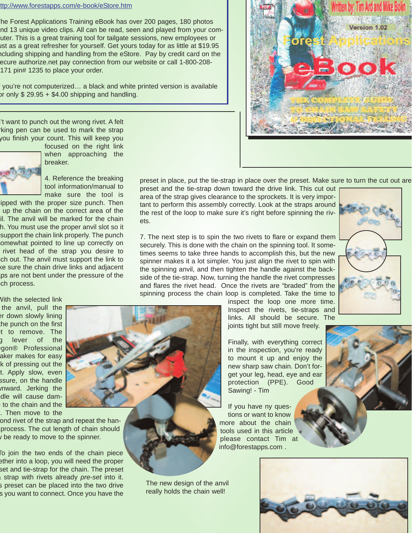#### ttp://www.forestapps.com/e-book/eStore.htm

he Forest Applications Training eBook has over 200 pages, 180 photos nd 13 unique video clips. All can be read, seen and played from your comuter. This is a great training tool for tailgate sessions, new employees or ust as a great refresher for yourself. Get yours today for as little at \$19.95 ncluding shipping and handling from the eStore. Pay by credit card on the ecure authorize.net pay connection from our website or call 1-800-208- 171 pin# 1235 to place your order.

f you're not computerized… a black and white printed version is available or only \$ 29.95 + \$4.00 shipping and handling.

It want to punch out the wrong rivet. A felt rking pen can be used to mark the strap you finish your count. This will keep you



focused on the right link when approaching the breaker.



ipped with the proper size punch. Then up the chain on the correct area of the il. The anvil will be marked for the chain h. You must use the proper anvil slot so it support the chain link properly. The punch omewhat pointed to line up correctly on rivet head of the strap you desire to ch out. The anvil must support the link to ke sure the chain drive links and adjacent aps are not bent under the pressure of the ch process.

With the selected link the anvil, pull the er down slowly lining the punch on the first et to remove. The g lever of the egon® Professional aker makes for easy k of pressing out the t. Apply slow, even ssure, on the handle wnward. Jerking the dle will cause damto the chain and the . Then move to the

ond rivet of the strap and repeat the hanprocess. The cut length of chain should be ready to move to the spinner.

To join the two ends of the chain piece ether into a loop, you will need the proper set and tie-strap for the chain. The preset a strap with rivets already *pre-set* into it. s preset can be placed into the two drive s you want to connect. Once you have the

preset in place, put the tie-strap in place over the preset. Make sure to turn the cut out are preset and the tie-strap down toward the drive link. This cut out

o re

area of the strap gives clearance to the sprockets. It is very important to perform this assembly correctly. Look at the straps around the rest of the loop to make sure it's right before spinning the rivets.

7. The next step is to spin the two rivets to flare or expand them securely. This is done with the chain on the spinning tool. It sometimes seems to take three hands to accomplish this, but the new spinner makes it a lot simpler. You just align the rivet to spin with the spinning anvil, and then tighten the handle against the backside of the tie-strap. Now, turning the handle the rivet compresses and flares the rivet head. Once the rivets are "braded" from the spinning process the chain loop is completed. Take the time to



inspect the loop one more time. Inspect the rivets, tie-straps and links. All should be secure. The joints tight but still move freely.

Finally, with everything correct in the inspection, you're ready to mount it up and enjoy the new sharp saw chain. Don't forget your leg, head, eye and ear protection (PPE). Good Sawing! - Tim

If you have ny questions or want to know more about the chain tools used in this article please contact Tim at info@forestapps.com .

The new design of the anvil really holds the chain well!



Version 1.02

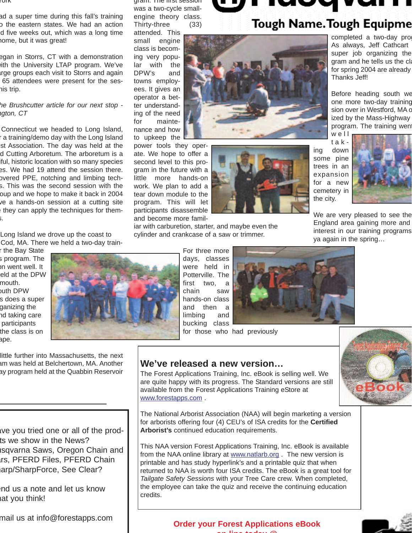#### York

ad a super time during this fall's training o the eastern states. We had an action d five weeks out, which was a long time home, but it was great!

egan in Storrs, CT with a demonstration with the University LTAP program. We've arge groups each visit to Storrs and again 65 attendees were present for the seshis trip.

#### *he Brushcutter article for our next stop ngton, CT*

Connecticut we headed to Long Island, r a training/demo day with the Long Island st Association. The day was held at the d Cutting Arboretum. The arboretum is a iful, historic location with so many species es. We had 19 attend the session there. overed PPE, notching and limbing techs. This was the second session with the oup and we hope to make it back in 2004 ve a hands-on session at a cutting site they can apply the techniques for thems.

Long Island we drove up the coast to Cod, MA. There we held a two-day train-

r the Bay State s program. The on went well. It eld at the DPW mouth. outh DPW s does a super ganizing the nd taking care participants the class is on ape.



little further into Massachusetts, the next am was held at Belchertown, MA. Another ay program held at the Quabbin Reservoir

ave you tried one or all of the prodts we show in the News? usqvarna Saws, Oregon Chain and Irs, PFERD Files, PFERD Chain arp/SharpForce, See Clear?

end us a note and let us know hat you think!

mail us at info@forestapps.com

gram. The first session was a two-cycle smallengine theory class.

Thirty-three (33) attended. This small engine class is becoming very popular with the DPW's and towns employees. It gives an operator a better understanding of the need for maintenance and how

to upkeep the power tools they operate. We hope to offer a second level to this program in the future with a little more hands-on work. We plan to add a tear down module to the program. This will let participants disassemble and become more famil-





iar with carburetion, starter, and maybe even the cylinder and crankcase of a saw or trimmer.

> For three more days, classes were held in Potterville. The first two, a chain saw hands-on class and then a limbing and bucking class



for those who had previously



## **We've released a new version…**

The Forest Applications Training, Inc. eBook is selling well. We are quite happy with its progress. The Standard versions are still available from the Forest Applications Training eStore at www.forestapps.com .

The National Arborist Association (NAA) will begin marketing a version for arborists offering four (4) CEU's of ISA credits for the **Certified Arborist's** continued education requirements.

This NAA version Forest Applications Training, Inc. eBook is available from the NAA online library at www.natlarb.org . The new version is printable and has study hyperlink's and a printable quiz that when returned to NAA is worth four ISA credits. The eBook is a great tool for *Tailgate Safety Sessions* with your Tree Care crew. When completed, the employee can take the quiz and receive the continuing education credits.

# **Tough Name. Tough Equipme**

completed a two-day pro As always, Jeff Cathcart super job organizing the gram and he tells us the cla for spring 2004 are already Thanks Jeff!

Before heading south we one more two-day training sion over in Westford, MA o ized by the Mass-Highway program. The training went well

taking down some pine trees in an expansion for a new cemetery in the city.



We are very pleased to see the England area gaining more and interest in our training programs ya again in the spring…

**Order your Forest Applications eBook on line today @**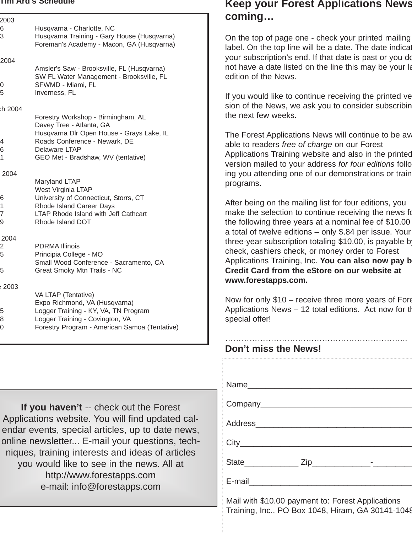#### **Tim Ard's Schedule**

| 2003                     |                                                                                                                                                                                                     |
|--------------------------|-----------------------------------------------------------------------------------------------------------------------------------------------------------------------------------------------------|
| 6<br>3                   | Husqvarna - Charlotte, NC<br>Husqvarna Training - Gary House (Husqvarna)<br>Foreman's Academy - Macon, GA (Husqvarna)                                                                               |
| 2004                     |                                                                                                                                                                                                     |
| 0<br>5                   | Amsler's Saw - Brooksville, FL (Husqvarna)<br>SW FL Water Management - Brooksville, FL<br>SFWMD - Miami, FL<br>Inverness, FL                                                                        |
| ch 2004                  |                                                                                                                                                                                                     |
| 4<br>6<br>$\overline{1}$ | Forestry Workshop - Birmingham, AL<br>Davey Tree - Atlanta, GA<br>Husqvarna Dlr Open House - Grays Lake, IL<br>Roads Conference - Newark, DE<br>Delaware LTAP<br>GEO Met - Bradshaw, WV (tentative) |
| 2004                     |                                                                                                                                                                                                     |
| 6<br>1<br>7<br>9         | Maryland LTAP<br>West Virginia LTAP<br>University of Connecticut, Storrs, CT<br>Rhode Island Career Days<br><b>LTAP Rhode Island with Jeff Cathcart</b><br>Rhode Island DOT                         |
| 2004                     |                                                                                                                                                                                                     |
| 2<br>5                   | PDRMA Illinois<br>Principia College - MO<br>Small Wood Conference - Sacramento, CA                                                                                                                  |
| 5                        | Great Smoky Mtn Trails - NC                                                                                                                                                                         |
| 2003 ؛                   | VA LTAP (Tentative)<br>Expo Richmond, VA (Husqvarna)                                                                                                                                                |
| 5<br>8<br>0              | Logger Training - KY, VA, TN Program<br>Logger Training - Covington, VA<br>Forestry Program - American Samoa (Tentative)                                                                            |
|                          |                                                                                                                                                                                                     |

**If you haven't** -- check out the Forest Applications website. You will find updated calendar events, special articles, up to date news, online newsletter... E-mail your questions, techniques, training interests and ideas of articles you would like to see in the news. All at http://www.forestapps.com e-mail: info@forestapps.com

## **Keep your Forest Applications News coming…**

On the top of page one - check your printed mailing label. On the top line will be a date. The date indicat your subscription's end. If that date is past or you do not have a date listed on the line this may be your la edition of the News.

If you would like to continue receiving the printed ve sion of the News, we ask you to consider subscribin the next few weeks.

The Forest Applications News will continue to be ava able to readers *free of charge* on our Forest Applications Training website and also in the printed version mailed to your address *for four editions* follo ing you attending one of our demonstrations or train programs.

After being on the mailing list for four editions, you make the selection to continue receiving the news fo the following three years at a nominal fee of \$10.00 a total of twelve editions – only \$.84 per issue. Your three-year subscription totaling \$10.00, is payable b check, cashiers check, or money order to Forest Applications Training, Inc. **You can also now pay b Credit Card from the eStore on our website at www.forestapps.com.**

Now for only \$10 – receive three more years of Fore Applications News – 12 total editions. Act now for th special offer!

### ………………………………………………………….. **Don't miss the News!**

Mail with \$10.00 payment to: Forest Applications Training, Inc., PO Box 1048, Hiram, GA 30141-1048